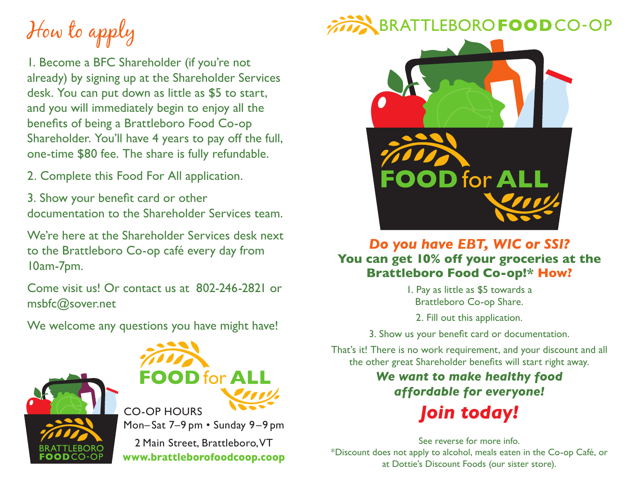How to apply

1. Become a BFC Shareholder (if you're not already) by signing up at the Shareholder Services desk. You can put down as little as \$5 to start, and you will immediately begin to enjoy all the benefits of being a Brattleboro Food Co-op Shareholder. You'll have 4 years to pay off the full, one-time \$80 fee. The share is fully refundable.

2. Complete this Food For All application.

3. Show your benefit card or other documentation to the Shareholder Services team.

We're here at the Shareholder Services desk next to the Brattleboro Co-op café every day from 10am-7pm.

Come visit us! Or contact us at 802-246-2821 or msbfc@sover.net

We welcome any questions you have might have!





Mon– Sat 7–9 pm • Sunday 9–9 pm CO-OP HOURS

2 Main Street, Brattleboro, VT **www.brattleborofoodcoop.coop**

## BRATTLEBORO FOOD CO-OP



## *Do you have EBT, WIC or SSI?* **You can get 10% off your groceries at the Brattleboro Food Co-op!\* How?**

1. Pay as little as \$5 towards a Brattleboro Co-op Share.

2. Fill out this application.

3. Show us your benefit card or documentation.

That's it! There is no work requirement, and your discount and all the other great Shareholder benefits will start right away.

## *We want to make healthy food affordable for everyone! Join today!*

See reverse for more info. \*Discount does not apply to alcohol, meals eaten in the Co-op Café, or at Dottie's Discount Foods (our sister store).